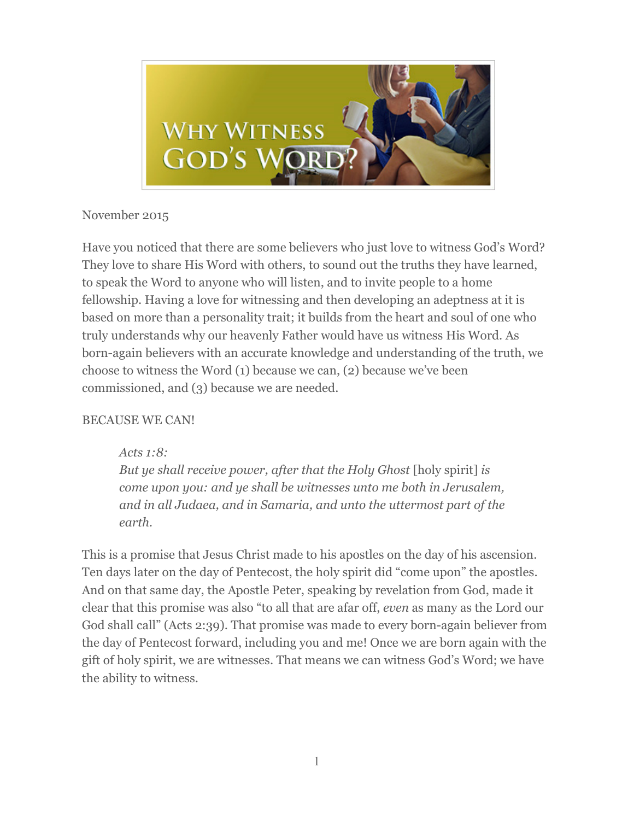

# November 2015

Have you noticed that there are some believers who just love to witness God's Word? They love to share His Word with others, to sound out the truths they have learned, to speak the Word to anyone who will listen, and to invite people to a home fellowship. Having a love for witnessing and then developing an adeptness at it is based on more than a personality trait; it builds from the heart and soul of one who truly understands why our heavenly Father would have us witness His Word. As born-again believers with an accurate knowledge and understanding of the truth, we choose to witness the Word (1) because we can, (2) because we've been commissioned, and (3) because we are needed.

# BECAUSE WE CAN!

*Acts 1:8:* 

*But ye shall receive power, after that the Holy Ghost* [holy spirit] *is come upon you: and ye shall be witnesses unto me both in Jerusalem, and in all Judaea, and in Samaria, and unto the uttermost part of the earth.* 

This is a promise that Jesus Christ made to his apostles on the day of his ascension. Ten days later on the day of Pentecost, the holy spirit did "come upon" the apostles. And on that same day, the Apostle Peter, speaking by revelation from God, made it clear that this promise was also "to all that are afar off, *even* as many as the Lord our God shall call" (Acts 2:39). That promise was made to every born-again believer from the day of Pentecost forward, including you and me! Once we are born again with the gift of holy spirit, we are witnesses. That means we can witness God's Word; we have the ability to witness.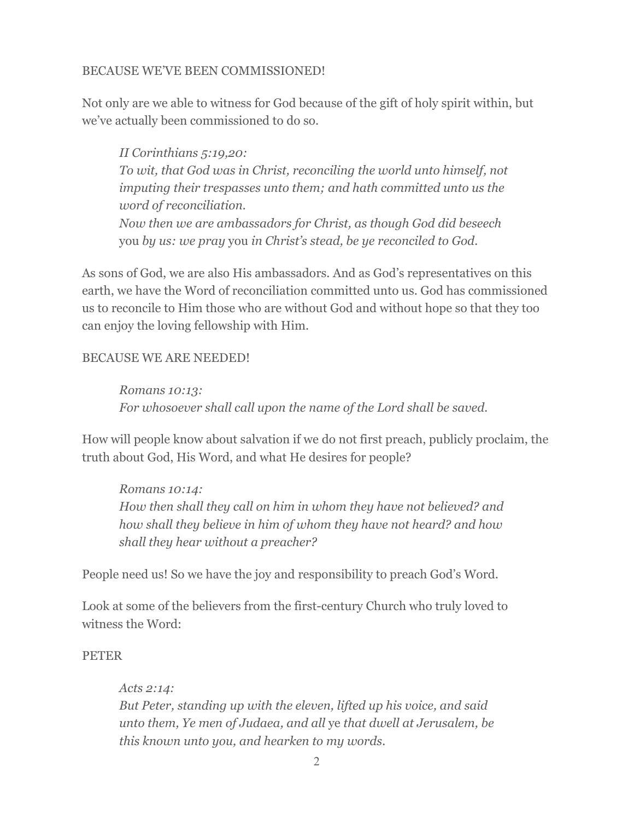## BECAUSE WE'VE BEEN COMMISSIONED!

Not only are we able to witness for God because of the gift of holy spirit within, but we've actually been commissioned to do so.

*II Corinthians 5:19,20: To wit, that God was in Christ, reconciling the world unto himself, not imputing their trespasses unto them; and hath committed unto us the word of reconciliation. Now then we are ambassadors for Christ, as though God did beseech*  you *by us: we pray* you *in Christ's stead, be ye reconciled to God.* 

As sons of God, we are also His ambassadors. And as God's representatives on this earth, we have the Word of reconciliation committed unto us. God has commissioned us to reconcile to Him those who are without God and without hope so that they too can enjoy the loving fellowship with Him.

## BECAUSE WE ARE NEEDED!

*Romans 10:13: For whosoever shall call upon the name of the Lord shall be saved.*

How will people know about salvation if we do not first preach, publicly proclaim, the truth about God, His Word, and what He desires for people?

*Romans 10:14: How then shall they call on him in whom they have not believed? and how shall they believe in him of whom they have not heard? and how shall they hear without a preacher?* 

People need us! So we have the joy and responsibility to preach God's Word.

Look at some of the believers from the first-century Church who truly loved to witness the Word:

### PETER

*Acts 2:14: But Peter, standing up with the eleven, lifted up his voice, and said unto them, Ye men of Judaea, and all* ye *that dwell at Jerusalem, be this known unto you, and hearken to my words.*